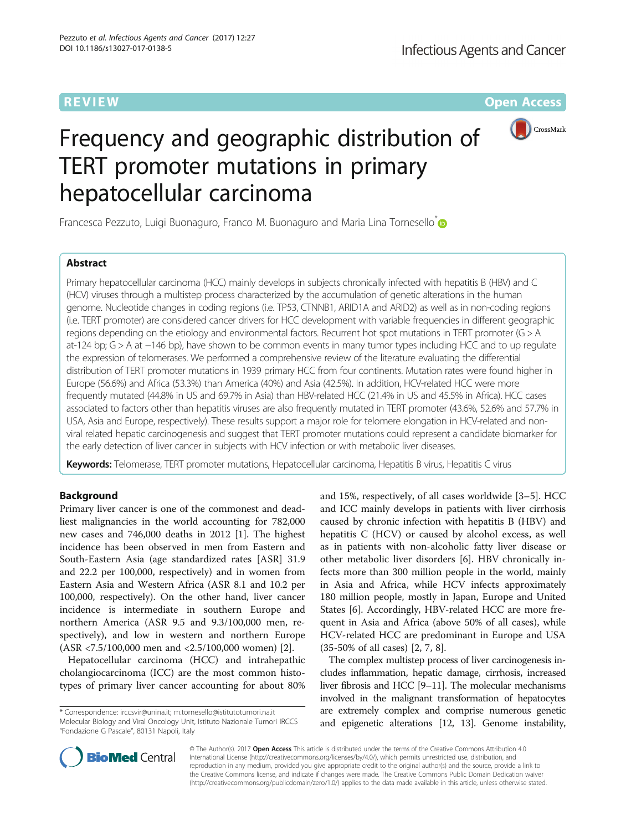**REVIEW CONTROL** CONTROL CONTROL CONTROL CONTROL CONTROL CONTROL CONTROL CONTROL CONTROL CONTROL CONTROL CONTROL CONTROL CONTROL CONTROL CONTROL CONTROL CONTROL CONTROL CONTROL CONTROL CONTROL CONTROL CONTROL CONTROL CONTR



# Frequency and geographic distribution of TERT promoter mutations in primary hepatocellular carcinoma

Francesca Pezzuto, Luigi Buonaguro, Franco M. Buonaguro and Maria Lina Tornesello<sup>®</sup>

# Abstract

Primary hepatocellular carcinoma (HCC) mainly develops in subjects chronically infected with hepatitis B (HBV) and C (HCV) viruses through a multistep process characterized by the accumulation of genetic alterations in the human genome. Nucleotide changes in coding regions (i.e. TP53, CTNNB1, ARID1A and ARID2) as well as in non-coding regions (i.e. TERT promoter) are considered cancer drivers for HCC development with variable frequencies in different geographic regions depending on the etiology and environmental factors. Recurrent hot spot mutations in TERT promoter (G > A at-124 bp; G > A at −146 bp), have shown to be common events in many tumor types including HCC and to up regulate the expression of telomerases. We performed a comprehensive review of the literature evaluating the differential distribution of TERT promoter mutations in 1939 primary HCC from four continents. Mutation rates were found higher in Europe (56.6%) and Africa (53.3%) than America (40%) and Asia (42.5%). In addition, HCV-related HCC were more frequently mutated (44.8% in US and 69.7% in Asia) than HBV-related HCC (21.4% in US and 45.5% in Africa). HCC cases associated to factors other than hepatitis viruses are also frequently mutated in TERT promoter (43.6%, 52.6% and 57.7% in USA, Asia and Europe, respectively). These results support a major role for telomere elongation in HCV-related and nonviral related hepatic carcinogenesis and suggest that TERT promoter mutations could represent a candidate biomarker for the early detection of liver cancer in subjects with HCV infection or with metabolic liver diseases.

Keywords: Telomerase, TERT promoter mutations, Hepatocellular carcinoma, Hepatitis B virus, Hepatitis C virus

# Background

Primary liver cancer is one of the commonest and deadliest malignancies in the world accounting for 782,000 new cases and 746,000 deaths in 2012 [[1\]](#page-6-0). The highest incidence has been observed in men from Eastern and South-Eastern Asia (age standardized rates [ASR] 31.9 and 22.2 per 100,000, respectively) and in women from Eastern Asia and Western Africa (ASR 8.1 and 10.2 per 100,000, respectively). On the other hand, liver cancer incidence is intermediate in southern Europe and northern America (ASR 9.5 and 9.3/100,000 men, respectively), and low in western and northern Europe (ASR <7.5/100,000 men and <2.5/100,000 women) [[2\]](#page-6-0).

Hepatocellular carcinoma (HCC) and intrahepathic cholangiocarcinoma (ICC) are the most common histotypes of primary liver cancer accounting for about 80%

\* Correspondence: [irccsvir@unina.it;](mailto:irccsvir@unina.it) [m.tornesello@istitutotumori.na.it](mailto:m.tornesello@istitutotumori.na.it) Molecular Biology and Viral Oncology Unit, Istituto Nazionale Tumori IRCCS "Fondazione G Pascale", 80131 Napoli, Italy

and 15%, respectively, of all cases worldwide [[3](#page-6-0)–[5](#page-6-0)]. HCC and ICC mainly develops in patients with liver cirrhosis caused by chronic infection with hepatitis B (HBV) and hepatitis C (HCV) or caused by alcohol excess, as well as in patients with non-alcoholic fatty liver disease or other metabolic liver disorders [[6](#page-6-0)]. HBV chronically infects more than 300 million people in the world, mainly in Asia and Africa, while HCV infects approximately 180 million people, mostly in Japan, Europe and United States [\[6](#page-6-0)]. Accordingly, HBV-related HCC are more frequent in Asia and Africa (above 50% of all cases), while HCV-related HCC are predominant in Europe and USA (35-50% of all cases) [\[2](#page-6-0), [7](#page-6-0), [8](#page-6-0)].

The complex multistep process of liver carcinogenesis includes inflammation, hepatic damage, cirrhosis, increased liver fibrosis and HCC [\[9](#page-6-0)–[11](#page-6-0)]. The molecular mechanisms involved in the malignant transformation of hepatocytes are extremely complex and comprise numerous genetic and epigenetic alterations [[12](#page-6-0), [13\]](#page-6-0). Genome instability,



© The Author(s). 2017 **Open Access** This article is distributed under the terms of the Creative Commons Attribution 4.0 International License [\(http://creativecommons.org/licenses/by/4.0/](http://creativecommons.org/licenses/by/4.0/)), which permits unrestricted use, distribution, and reproduction in any medium, provided you give appropriate credit to the original author(s) and the source, provide a link to the Creative Commons license, and indicate if changes were made. The Creative Commons Public Domain Dedication waiver [\(http://creativecommons.org/publicdomain/zero/1.0/](http://creativecommons.org/publicdomain/zero/1.0/)) applies to the data made available in this article, unless otherwise stated.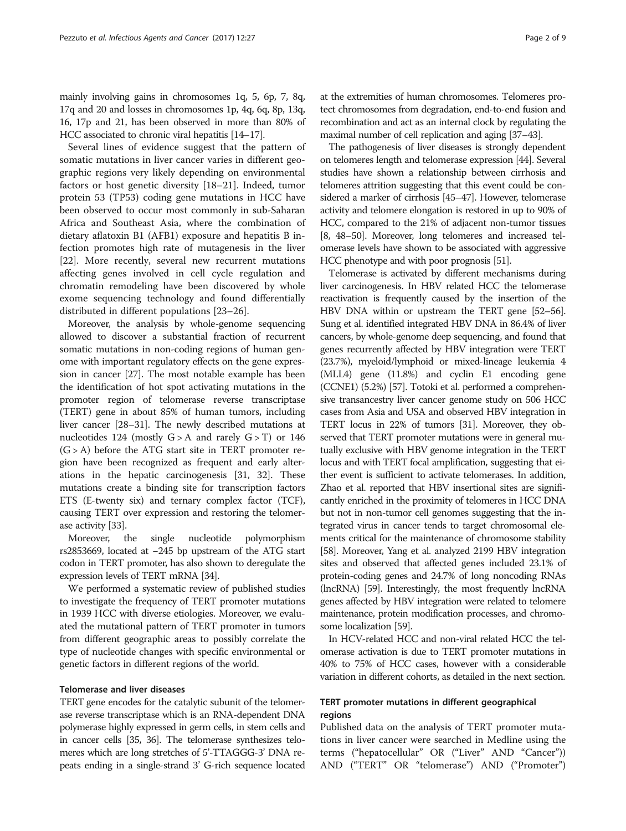mainly involving gains in chromosomes 1q, 5, 6p, 7, 8q, 17q and 20 and losses in chromosomes 1p, 4q, 6q, 8p, 13q, 16, 17p and 21, has been observed in more than 80% of HCC associated to chronic viral hepatitis [[14](#page-6-0)–[17](#page-6-0)].

Several lines of evidence suggest that the pattern of somatic mutations in liver cancer varies in different geographic regions very likely depending on environmental factors or host genetic diversity [\[18](#page-7-0)–[21\]](#page-7-0). Indeed, tumor protein 53 (TP53) coding gene mutations in HCC have been observed to occur most commonly in sub-Saharan Africa and Southeast Asia, where the combination of dietary aflatoxin B1 (AFB1) exposure and hepatitis B infection promotes high rate of mutagenesis in the liver [[22\]](#page-7-0). More recently, several new recurrent mutations affecting genes involved in cell cycle regulation and chromatin remodeling have been discovered by whole exome sequencing technology and found differentially distributed in different populations [\[23](#page-7-0)–[26\]](#page-7-0).

Moreover, the analysis by whole-genome sequencing allowed to discover a substantial fraction of recurrent somatic mutations in non-coding regions of human genome with important regulatory effects on the gene expression in cancer [[27](#page-7-0)]. The most notable example has been the identification of hot spot activating mutations in the promoter region of telomerase reverse transcriptase (TERT) gene in about 85% of human tumors, including liver cancer [\[28](#page-7-0)–[31\]](#page-7-0). The newly described mutations at nucleotides 124 (mostly  $G > A$  and rarely  $G > T$ ) or 146  $(G > A)$  before the ATG start site in TERT promoter region have been recognized as frequent and early alterations in the hepatic carcinogenesis [\[31, 32](#page-7-0)]. These mutations create a binding site for transcription factors ETS (E-twenty six) and ternary complex factor (TCF), causing TERT over expression and restoring the telomerase activity [[33\]](#page-7-0).

Moreover, the single nucleotide polymorphism rs2853669, located at −245 bp upstream of the ATG start codon in TERT promoter, has also shown to deregulate the expression levels of TERT mRNA [\[34\]](#page-7-0).

We performed a systematic review of published studies to investigate the frequency of TERT promoter mutations in 1939 HCC with diverse etiologies. Moreover, we evaluated the mutational pattern of TERT promoter in tumors from different geographic areas to possibly correlate the type of nucleotide changes with specific environmental or genetic factors in different regions of the world.

# Telomerase and liver diseases

TERT gene encodes for the catalytic subunit of the telomerase reverse transcriptase which is an RNA-dependent DNA polymerase highly expressed in germ cells, in stem cells and in cancer cells [\[35, 36\]](#page-7-0). The telomerase synthesizes telomeres which are long stretches of 5'-TTAGGG-3' DNA repeats ending in a single-strand 3' G-rich sequence located at the extremities of human chromosomes. Telomeres protect chromosomes from degradation, end-to-end fusion and recombination and act as an internal clock by regulating the maximal number of cell replication and aging [\[37](#page-7-0)–[43\]](#page-7-0).

The pathogenesis of liver diseases is strongly dependent on telomeres length and telomerase expression [[44](#page-7-0)]. Several studies have shown a relationship between cirrhosis and telomeres attrition suggesting that this event could be considered a marker of cirrhosis [\[45](#page-7-0)–[47\]](#page-7-0). However, telomerase activity and telomere elongation is restored in up to 90% of HCC, compared to the 21% of adjacent non-tumor tissues [[8](#page-6-0), [48](#page-7-0)–[50](#page-7-0)]. Moreover, long telomeres and increased telomerase levels have shown to be associated with aggressive HCC phenotype and with poor prognosis [\[51\]](#page-7-0).

Telomerase is activated by different mechanisms during liver carcinogenesis. In HBV related HCC the telomerase reactivation is frequently caused by the insertion of the HBV DNA within or upstream the TERT gene [\[52](#page-7-0)–[56](#page-7-0)]. Sung et al. identified integrated HBV DNA in 86.4% of liver cancers, by whole-genome deep sequencing, and found that genes recurrently affected by HBV integration were TERT (23.7%), myeloid/lymphoid or mixed-lineage leukemia 4 (MLL4) gene (11.8%) and cyclin E1 encoding gene (CCNE1) (5.2%) [\[57\]](#page-7-0). Totoki et al. performed a comprehensive transancestry liver cancer genome study on 506 HCC cases from Asia and USA and observed HBV integration in TERT locus in 22% of tumors [\[31](#page-7-0)]. Moreover, they observed that TERT promoter mutations were in general mutually exclusive with HBV genome integration in the TERT locus and with TERT focal amplification, suggesting that either event is sufficient to activate telomerases. In addition, Zhao et al. reported that HBV insertional sites are significantly enriched in the proximity of telomeres in HCC DNA but not in non-tumor cell genomes suggesting that the integrated virus in cancer tends to target chromosomal elements critical for the maintenance of chromosome stability [[58](#page-7-0)]. Moreover, Yang et al. analyzed 2199 HBV integration sites and observed that affected genes included 23.1% of protein-coding genes and 24.7% of long noncoding RNAs (lncRNA) [[59](#page-8-0)]. Interestingly, the most frequently lncRNA genes affected by HBV integration were related to telomere maintenance, protein modification processes, and chromosome localization [\[59](#page-8-0)].

In HCV-related HCC and non-viral related HCC the telomerase activation is due to TERT promoter mutations in 40% to 75% of HCC cases, however with a considerable variation in different cohorts, as detailed in the next section.

# TERT promoter mutations in different geographical regions

Published data on the analysis of TERT promoter mutations in liver cancer were searched in Medline using the terms ("hepatocellular" OR ("Liver" AND "Cancer")) AND ("TERT" OR "telomerase") AND ("Promoter")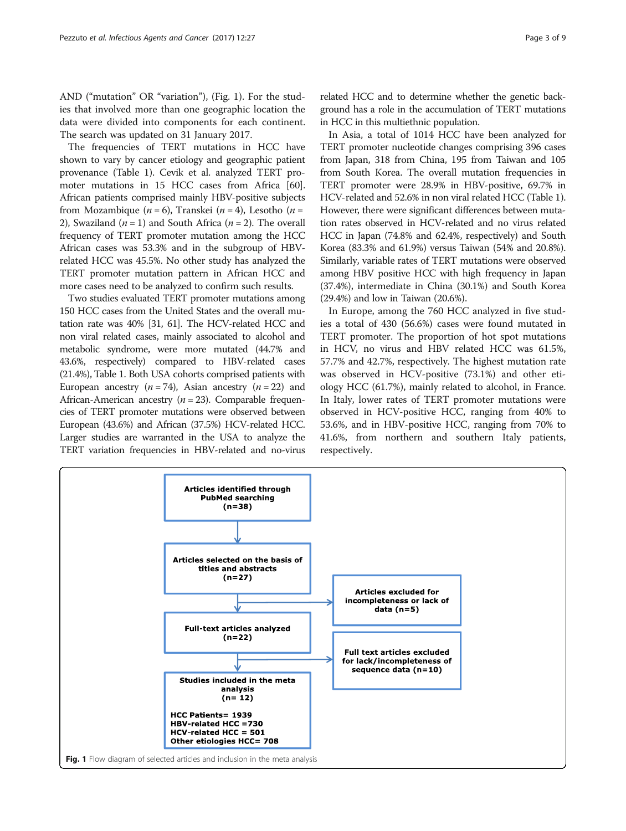AND ("mutation" OR "variation"), (Fig. 1). For the studies that involved more than one geographic location the data were divided into components for each continent. The search was updated on 31 January 2017.

The frequencies of TERT mutations in HCC have shown to vary by cancer etiology and geographic patient provenance (Table [1](#page-3-0)). Cevik et al. analyzed TERT promoter mutations in 15 HCC cases from Africa [[60](#page-8-0)]. African patients comprised mainly HBV-positive subjects from Mozambique ( $n = 6$ ), Transkei ( $n = 4$ ), Lesotho ( $n = 1$ ) 2), Swaziland ( $n = 1$ ) and South Africa ( $n = 2$ ). The overall frequency of TERT promoter mutation among the HCC African cases was 53.3% and in the subgroup of HBVrelated HCC was 45.5%. No other study has analyzed the TERT promoter mutation pattern in African HCC and more cases need to be analyzed to confirm such results.

Two studies evaluated TERT promoter mutations among 150 HCC cases from the United States and the overall mutation rate was 40% [\[31](#page-7-0), [61\]](#page-8-0). The HCV-related HCC and non viral related cases, mainly associated to alcohol and metabolic syndrome, were more mutated (44.7% and 43.6%, respectively) compared to HBV-related cases (21.4%), Table [1.](#page-3-0) Both USA cohorts comprised patients with European ancestry  $(n = 74)$ , Asian ancestry  $(n = 22)$  and African-American ancestry ( $n = 23$ ). Comparable frequencies of TERT promoter mutations were observed between European (43.6%) and African (37.5%) HCV-related HCC. Larger studies are warranted in the USA to analyze the TERT variation frequencies in HBV-related and no-virus related HCC and to determine whether the genetic background has a role in the accumulation of TERT mutations in HCC in this multiethnic population.

In Asia, a total of 1014 HCC have been analyzed for TERT promoter nucleotide changes comprising 396 cases from Japan, 318 from China, 195 from Taiwan and 105 from South Korea. The overall mutation frequencies in TERT promoter were 28.9% in HBV-positive, 69.7% in HCV-related and 52.6% in non viral related HCC (Table [1](#page-3-0)). However, there were significant differences between mutation rates observed in HCV-related and no virus related HCC in Japan (74.8% and 62.4%, respectively) and South Korea (83.3% and 61.9%) versus Taiwan (54% and 20.8%). Similarly, variable rates of TERT mutations were observed among HBV positive HCC with high frequency in Japan (37.4%), intermediate in China (30.1%) and South Korea (29.4%) and low in Taiwan (20.6%).

In Europe, among the 760 HCC analyzed in five studies a total of 430 (56.6%) cases were found mutated in TERT promoter. The proportion of hot spot mutations in HCV, no virus and HBV related HCC was 61.5%, 57.7% and 42.7%, respectively. The highest mutation rate was observed in HCV-positive (73.1%) and other etiology HCC (61.7%), mainly related to alcohol, in France. In Italy, lower rates of TERT promoter mutations were observed in HCV-positive HCC, ranging from 40% to 53.6%, and in HBV-positive HCC, ranging from 70% to 41.6%, from northern and southern Italy patients, respectively.

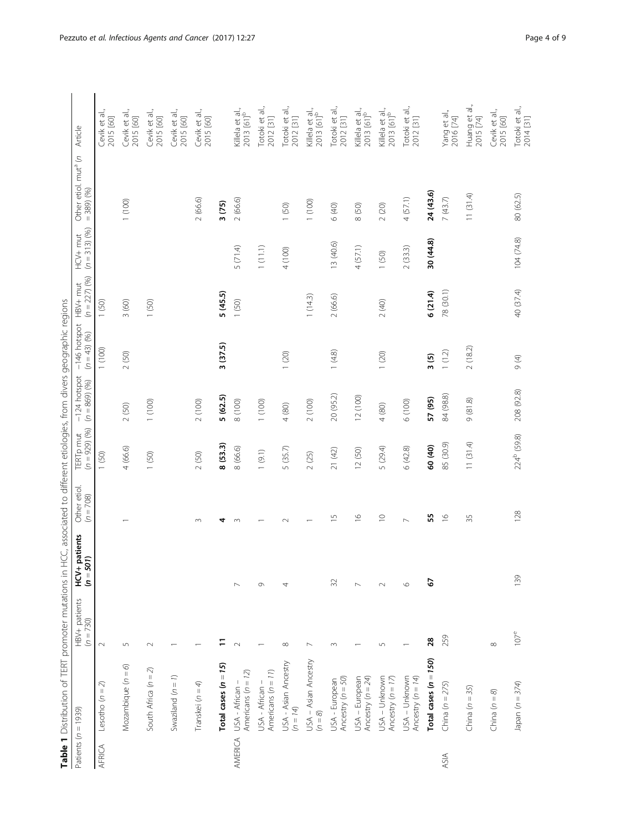| i<br>$\mathbf{r}$<br>$\mathbf{I}$<br>¢<br>ī<br>Ś<br>$\overline{)}$<br>i<br>i<br>$\mathcal{L}$  |
|------------------------------------------------------------------------------------------------|
| .<br>.<br>.<br>.<br>$\frac{1}{2}$                                                              |
| i<br>İ<br>ï                                                                                    |
| ĵ<br>١<br>I<br>i<br>١<br>)<br>j<br>ï<br>ï<br>$\frac{1}{\zeta}$<br>j<br>$\frac{1}{2}$<br>í<br>i |
| $\vdots$<br>j<br>ī<br>Ì                                                                        |
| うりこう こうこう<br>ī<br>l<br>$\frac{1}{2}$<br>֦                                                      |
| j<br>j                                                                                         |
| $\overline{\phantom{a}}$<br>¢<br>١                                                             |
| j<br>١<br>١                                                                                    |
| I<br>.<br> <br> <br>ī                                                                          |
| $\frac{1}{2}$<br>)<br>)<br>į<br>Ĕ<br>$\overline{\mathbf{r}}$                                   |
| <br> <br> <br>í<br>ەام<br>i<br>F                                                               |

<span id="page-3-0"></span>

| Patients $(n = 1939)$ |                                         | $HBV +$ patients<br>( $n = 730$ ) | $HCV +$ patients<br>$(n = 501)$<br>$\sum_{i=1}^{n}$ | Other etiol.<br>$(n = 708)$ | $(n = 929)$ (%)<br><b>TERT</b> pmut | $-124$ hotspot<br>$(n = 869)$ (%) | -146 hotspot HBV+ mut<br>$(n = 43)$ (%) | $(n = 227)$ (%) | $(n = 313)$ (%)<br>HCV+ mut | $\epsilon$<br>Other etiol. mut <sup>a</sup><br>$= 389 (%)$ | Article                                   |
|-----------------------|-----------------------------------------|-----------------------------------|-----------------------------------------------------|-----------------------------|-------------------------------------|-----------------------------------|-----------------------------------------|-----------------|-----------------------------|------------------------------------------------------------|-------------------------------------------|
| AFRICA                | Lesotho $(n = 2)$                       | $\sim$                            |                                                     |                             | 1(50)                               |                                   | (100)                                   | (50)            |                             |                                                            | et al.<br>Cevik et a<br>2015 [60]         |
|                       | Mozambique $(n = 6)$                    | $\sqrt{2}$                        |                                                     |                             | 4 (66.6)                            | 2(50)                             | (50)<br>$\sim$                          | 3(60)           |                             | (100)                                                      | Cevik et al.,<br>2015 [60]                |
|                       | South Africa $(n = 2)$                  | $\sim$                            |                                                     |                             | 1(50)                               | 1(100)                            |                                         | (50)            |                             |                                                            | Cevik et al.,<br>2015 [60]                |
|                       | Swaziland $(n = 1)$                     |                                   |                                                     |                             |                                     |                                   |                                         |                 |                             |                                                            | Cevik et al.,<br>2015 [60]                |
|                       | Transkei $(n = 4)$                      |                                   |                                                     | $\infty$                    | 2(50)                               | 2(100)                            |                                         |                 |                             | 2(66.6)                                                    | Cevik et al.,<br>2015 [60]                |
|                       | Total cases $(n = 15)$                  |                                   |                                                     | 4                           | 8(53.3)                             | 5(62.5)                           | 3(37.5)                                 | 5(45.5)         |                             | 3(75)                                                      |                                           |
| AMERICA               | Americans $(n = 12)$<br>USA - African - |                                   | $\overline{ }$                                      | $\sim$                      | 8 (66.6)                            | 8 (100)                           |                                         | 1(50)           | 5(71.4)                     | 2(66.6)                                                    | Killela et al.,<br>2013 [61] <sup>b</sup> |
|                       | Americans $(n = 11)$<br>USA - African - |                                   | G                                                   |                             | 1(9.1)                              | (100)                             |                                         |                 | 1(11.1)                     |                                                            | Totoki et al.,<br>2012 [31]               |
|                       | USA - Asian Ancestry<br>$(n = 14)$      | $\infty$                          | 4                                                   | $\sim$                      | 5 (35.7)                            | 4(80)                             | (20)                                    |                 | 4(100)                      | 1(50)                                                      | Totoki et al.,<br>2012 [31]               |
|                       | USA – Asian Ancestry<br>( $n = 8$ )     | $\sim$                            |                                                     |                             | 2(25)                               | 2(100)                            |                                         | 1(14.3)         |                             | (100)                                                      | Killela et al.,<br>2013 [61] <sup>b</sup> |
|                       | Ancestry $(n = 50)$<br>USA - European   | $\sim$                            | 32                                                  | $\overline{1}$              | 21 (42)                             | 20 (95.2)                         | 1(4.8)                                  | 2(66.6)         | 13 (40.6)                   | 6 (40)                                                     | Totoki et al.,<br>2012 [31]               |
|                       | USA - European<br>Ancestry ( $n = 24$ ) |                                   |                                                     | $\frac{\infty}{\infty}$     | 12 (50)                             | 12 (100)                          |                                         |                 | 4(57.1)                     | 8 (50)                                                     | Killela et al.,<br>2013 [61] <sup>b</sup> |
|                       | USA – Unknown<br>Ancestry ( $n = 17$    | 5                                 | $\sim$                                              | $\supseteq$                 | 5 (29.4)                            | 4(80)                             | (20)                                    | 2(40)           | (50)                        | $2\ (20)$                                                  | Killela et al.,<br>2013 [61] <sup>b</sup> |
|                       | USA - Unknown<br>Ancestry $(n = 14)$    |                                   | $\circ$                                             | $\sim$                      | 6(42.8)                             | 6 (100)                           |                                         |                 | 2(33.3)                     | 4(57.1)                                                    | Totoki et al<br>2012 [31]                 |
|                       | Total cases $(n = 150)$                 | 28                                | 2                                                   | 55                          | 60 (40)                             | 57 (95)                           | 3(5)                                    | 6(21.4)         | 30 (44.8)                   | 24 (43.6)                                                  |                                           |
| ASIA                  | China ( $n = 275$ )                     | 259                               |                                                     | $\frac{\infty}{\infty}$     | 85 (30.9)                           | 84 (98.8)                         | 1(1.2)                                  | 78 (30.1)       |                             | 7(43.7)                                                    | Yang et al.,<br>2016 [74]                 |
|                       | China ( $n = 35$ )                      |                                   |                                                     | 35                          | 11(31.4)                            | 9(81.8)                           | 2(18.2)                                 |                 |                             | 11(31.4)                                                   | Huang et al.<br>2015 [74]                 |
|                       | China $(n = 8)$                         | ${}^{\infty}$                     |                                                     |                             |                                     |                                   |                                         |                 |                             |                                                            | Cevik et al.,<br>2015 [60]                |
|                       | Japan ( $n = 374$ )                     | $107^e$                           | 139                                                 | 128                         | 224 <sup>b</sup> (59.8)             | 208 (92.8)                        | $\Theta$ (4)                            | 40 (37.4)       | 104 (74.8)                  | 80 (62.5)                                                  | Totoki et al.,<br>2014 [31]               |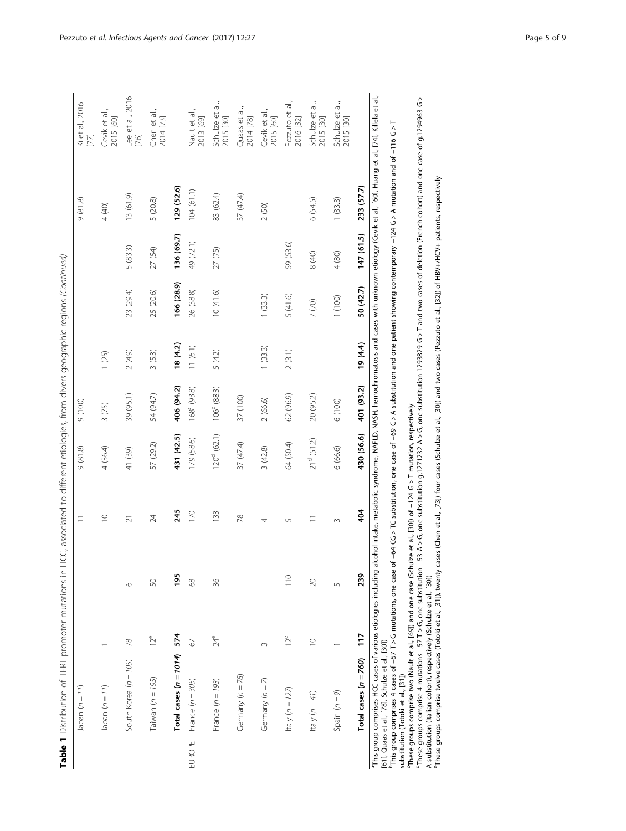| 5<br>I                                                                                                    |  |
|-----------------------------------------------------------------------------------------------------------|--|
| I                                                                                                         |  |
| į<br>į                                                                                                    |  |
| $\frac{1}{2}$                                                                                             |  |
| ֖֖֖֖֖֖֖֖֧ׅ֖ׅ֖֖֧֖֧֪֪֪֪֪֧֖֧֚֚֚֚֚֚֚֚֚֚֚֚֚֚֚֚֚֚֚֚֚֚֚֬֝֓֬֝֓֞֝֓֞֝                                               |  |
| .<br>1<br>1<br>1<br>1<br>1<br>1<br>1<br>1<br>1<br><br><br><br><br><br><br><br>j<br>۱                      |  |
| ١                                                                                                         |  |
| j<br>֖֖֖֖֖֖֧ׅ֧ׅ֖֖֖֧֧֧֪֧֧֧֪֪֪֪֪֪֪֪֪֪֪֪֪֪֪֪֪֪֪֪ׅ֧֚֚֚֚֚֚֚֚֚֚֚֚֚֚֚֚֚֚֚֚֚֚֚֡֬֝֝֬֝֓֞֝֓֞֝֬֝֓֝֬֝֞֞<br>j<br>١<br>Ì |  |
| j                                                                                                         |  |
|                                                                                                           |  |
| j<br>١                                                                                                    |  |
|                                                                                                           |  |
| ו<br>ו<br>)<br>!<br>!                                                                                     |  |
|                                                                                                           |  |
| $\frac{1}{2}$<br>.<br>.<br>.                                                                              |  |
| I                                                                                                         |  |
| Í<br> <br> <br>                                                                                           |  |
|                                                                                                           |  |
|                                                                                                           |  |
| l<br>י<br>ש<br>$\overline{a}$                                                                             |  |
| Table                                                                                                     |  |

|        | Japan $(n = 11)$                                                                                                                                                                                                                                                                                                                                                                                     |                 |                 | $\equiv$    | 9(818)           | 001)6                   |           |            |            | (81.8)                                                                                                                                  | Ki et al., 2016<br>$[77]$    |
|--------|------------------------------------------------------------------------------------------------------------------------------------------------------------------------------------------------------------------------------------------------------------------------------------------------------------------------------------------------------------------------------------------------------|-----------------|-----------------|-------------|------------------|-------------------------|-----------|------------|------------|-----------------------------------------------------------------------------------------------------------------------------------------|------------------------------|
|        | Japan $(n = 11)$                                                                                                                                                                                                                                                                                                                                                                                     |                 |                 | $\supseteq$ | 4 (36.4)         | 3(75)                   | 1(25)     |            |            | 4 (40)                                                                                                                                  | Cevik et al.,<br>2015 [60]   |
|        | South Korea ( $n = 105$ )                                                                                                                                                                                                                                                                                                                                                                            | 78              | $\circ$         | ត           | 41 (39)          | 39 (95.1)               | $(6.4)$ 2 | 23 (29.4)  | 5(83.3)    | 13(61.9)                                                                                                                                | Lee et al., 2016<br>[76]     |
|        | Taiwan ( $n = 195$ )                                                                                                                                                                                                                                                                                                                                                                                 | $12^e$          | 50              | 24          | 57 (29.2)        | 54 (94.7)               | 3(5.3)    | 25 (20.6)  | 27 (54)    | 5 (20.8)                                                                                                                                | Chen et al.,<br>2014 [73]    |
|        | Total cases $(n = 1014)$                                                                                                                                                                                                                                                                                                                                                                             | 574             | 195             | 245         | 431 (42.5)       | 406 (94.2)              | 18(4.2)   | 166 (28.9) | 136 (69.7) | 129 (52.6)                                                                                                                              |                              |
| EUROPE | France $(n = 305)$                                                                                                                                                                                                                                                                                                                                                                                   | 67              | 68              | 170         | 179 (58.6)       | 168° (93.8)             | 11(6.1)   | 26 (38.8)  | 49 (72.1)  | 104(61.1)                                                                                                                               | Nault et al.,<br>2013 [69]   |
|        | France $(n = 193)$                                                                                                                                                                                                                                                                                                                                                                                   | $24^e$          | 36              | 133         | $120^{d}$ (62.1) | 106 <sup>c</sup> (88.3) | 5 (4.2)   | 10(41.6)   | 27 (75)    | 83 (62.4)                                                                                                                               | Schulze et al.,<br>2015 [30] |
|        | Germany $(n = 78)$                                                                                                                                                                                                                                                                                                                                                                                   |                 |                 | 78          | 37 (47.4)        | 37 (100)                |           |            |            | 37 (47.4)                                                                                                                               | Quaas et al.,<br>2014 [78]   |
|        | Germany $(n = 7)$                                                                                                                                                                                                                                                                                                                                                                                    | 3               |                 | 4           | 3(42.8)          | 2(66.6)                 | 1(33.3)   | 1(33.3)    |            | 2(50)                                                                                                                                   | Cevik et al.,<br>2015 [60]   |
|        | Italy ( $n = 127$ )                                                                                                                                                                                                                                                                                                                                                                                  | 12 <sup>e</sup> | $\frac{10}{10}$ | S           | 64 (50.4)        | 62 (96.9)               | 2(3.1)    | 5(41.6)    | 59 (53.6)  |                                                                                                                                         | Pezzuto et al.,<br>2016 [32] |
|        | Italy $(n = 41)$                                                                                                                                                                                                                                                                                                                                                                                     | $\supseteq$     | 20              |             | $21^d$ (51.2)    | 20 (95.2)               |           | $7\ (70)$  | 8 (40)     | 6(54.5)                                                                                                                                 | Schulze et al.,<br>2015 [30] |
|        | Spain $(n = 9)$                                                                                                                                                                                                                                                                                                                                                                                      |                 | 5               | $\infty$    | 6 (66.6)         | 6(100)                  |           | 1(100)     | 4 (80)     | 1(33.3)                                                                                                                                 | Schulze et al.,<br>2015 [30] |
|        | Total cases $(n = 760)$                                                                                                                                                                                                                                                                                                                                                                              | $\frac{1}{1}$   | 239             | 404         | 430 (56.6)       | 401 (93.2)              | 19(4.4)   | 50 (42.7)  | 147 (61.5) | 233 (57.7)                                                                                                                              |                              |
|        | "This group comprises HCC cases of various etiologies including alcohol intake, metabolic syndrome, NAFLD, NASH, hemochromatosis and cases with unknown etiology (Cevik et al., [60], Huang et al., [74], Killela et al.,<br>$\frac{b}{c}$ This group comprises 4 cases of -57 T > G mutations, one case of<br>[61], Quaas et al., [78], Schulze et al., [30])<br>substitution (Totoki et al., [31]) |                 |                 |             |                  |                         |           |            |            | -64 CG > TC substitution, one case of -69 C > A substitution and one patient showing contemporary -124 G > A mutation and of -116 G > T |                              |

cThese groups comprise two (Nault et al., [\[69](#page-8-0)]) and one case (Schulze et al., [[30](#page-7-0)]) of −124 G > T mutation, respectively

°Thes groups comprise two (Nault et al., [69]) and one case (Schulze et al., [30]) of −124 G > T mutation, respectively<br>°Thes groups comprise 4 mutations −57 T > G, one substitution −53 A > G, one substitution 1293829 G > dThese groups comprise 4 mutations −57 T > G, one substitution −53 A > G, one substitution g.1271232 A > G, one substitution 1293829 G > T and two cases of deletion (French cohort) and one case of g.1294963 G > A substitution (Italian cohort), respectively (Schulze et al., [[30](#page-7-0)])

eThese groups comprise twelve cases (Totoki et al., [[31](#page-7-0)]), twenty cases (Chen et al., [[73\]](#page-8-0)) four cases (Schulze et al., [[30\]](#page-7-0)) and two cases (Pezzuto et al., [[32](#page-7-0)]) of HBV+/HCV+ patients, respectively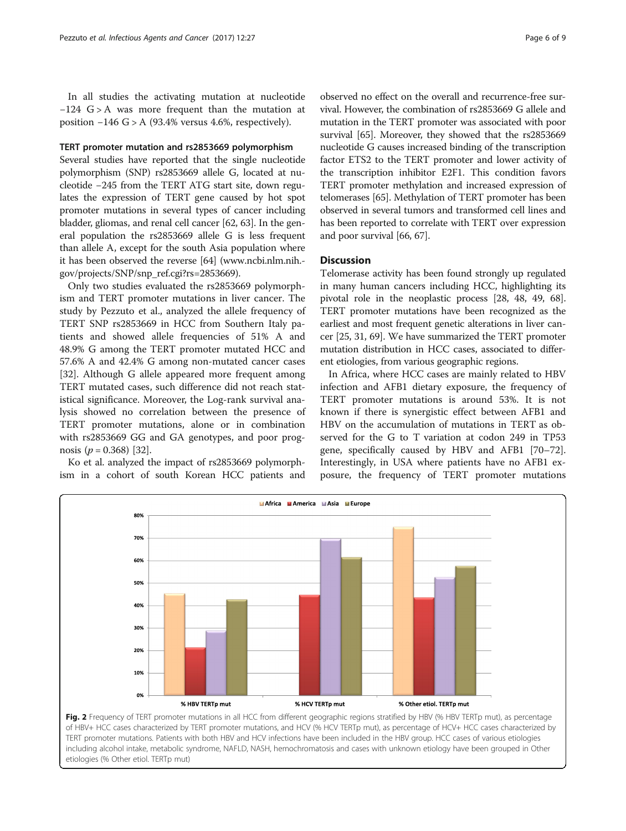<span id="page-5-0"></span>In all studies the activating mutation at nucleotide −124 G > A was more frequent than the mutation at position  $-146$  G > A (93.4% versus 4.6%, respectively).

# TERT promoter mutation and rs2853669 polymorphism

Several studies have reported that the single nucleotide polymorphism (SNP) rs2853669 allele G, located at nucleotide −245 from the TERT ATG start site, down regulates the expression of TERT gene caused by hot spot promoter mutations in several types of cancer including bladder, gliomas, and renal cell cancer [\[62](#page-8-0), [63](#page-8-0)]. In the general population the rs2853669 allele G is less frequent than allele A, except for the south Asia population where it has been observed the reverse [\[64](#page-8-0)] [\(www.ncbi.nlm.nih.](http://www.ncbi.nlm.nih.gov/projects/SNP/snp_ref.cgi?rs=2853669) [gov/projects/SNP/snp\\_ref.cgi?rs=2853669\)](http://www.ncbi.nlm.nih.gov/projects/SNP/snp_ref.cgi?rs=2853669).

Only two studies evaluated the rs2853669 polymorphism and TERT promoter mutations in liver cancer. The study by Pezzuto et al., analyzed the allele frequency of TERT SNP rs2853669 in HCC from Southern Italy patients and showed allele frequencies of 51% A and 48.9% G among the TERT promoter mutated HCC and 57.6% A and 42.4% G among non-mutated cancer cases [[32\]](#page-7-0). Although G allele appeared more frequent among TERT mutated cases, such difference did not reach statistical significance. Moreover, the Log-rank survival analysis showed no correlation between the presence of TERT promoter mutations, alone or in combination with rs2853669 GG and GA genotypes, and poor prognosis ( $p = 0.368$ ) [\[32](#page-7-0)].

Ko et al. analyzed the impact of rs2853669 polymorphism in a cohort of south Korean HCC patients and

observed no effect on the overall and recurrence-free survival. However, the combination of rs2853669 G allele and mutation in the TERT promoter was associated with poor survival [[65](#page-8-0)]. Moreover, they showed that the rs2853669 nucleotide G causes increased binding of the transcription factor ETS2 to the TERT promoter and lower activity of the transcription inhibitor E2F1. This condition favors TERT promoter methylation and increased expression of telomerases [\[65](#page-8-0)]. Methylation of TERT promoter has been observed in several tumors and transformed cell lines and has been reported to correlate with TERT over expression and poor survival [\[66, 67](#page-8-0)].

# **Discussion**

Telomerase activity has been found strongly up regulated in many human cancers including HCC, highlighting its pivotal role in the neoplastic process [[28](#page-7-0), [48](#page-7-0), [49](#page-7-0), [68](#page-8-0)]. TERT promoter mutations have been recognized as the earliest and most frequent genetic alterations in liver cancer [[25](#page-7-0), [31,](#page-7-0) [69](#page-8-0)]. We have summarized the TERT promoter mutation distribution in HCC cases, associated to different etiologies, from various geographic regions.

In Africa, where HCC cases are mainly related to HBV infection and AFB1 dietary exposure, the frequency of TERT promoter mutations is around 53%. It is not known if there is synergistic effect between AFB1 and HBV on the accumulation of mutations in TERT as observed for the G to T variation at codon 249 in TP53 gene, specifically caused by HBV and AFB1 [[70](#page-8-0)–[72](#page-8-0)]. Interestingly, in USA where patients have no AFB1 exposure, the frequency of TERT promoter mutations



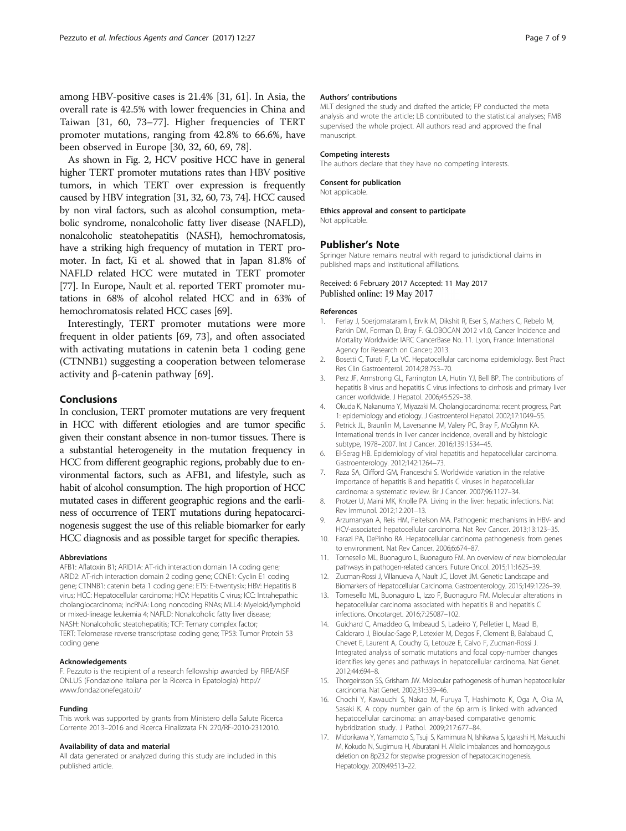<span id="page-6-0"></span>among HBV-positive cases is 21.4% [\[31,](#page-7-0) [61](#page-8-0)]. In Asia, the overall rate is 42.5% with lower frequencies in China and Taiwan [[31,](#page-7-0) [60](#page-8-0), [73](#page-8-0)–[77\]](#page-8-0). Higher frequencies of TERT promoter mutations, ranging from 42.8% to 66.6%, have been observed in Europe [[30, 32](#page-7-0), [60](#page-8-0), [69](#page-8-0), [78](#page-8-0)].

As shown in Fig. [2,](#page-5-0) HCV positive HCC have in general higher TERT promoter mutations rates than HBV positive tumors, in which TERT over expression is frequently caused by HBV integration [[31](#page-7-0), [32](#page-7-0), [60](#page-8-0), [73](#page-8-0), [74](#page-8-0)]. HCC caused by non viral factors, such as alcohol consumption, metabolic syndrome, nonalcoholic fatty liver disease (NAFLD), nonalcoholic steatohepatitis (NASH), hemochromatosis, have a striking high frequency of mutation in TERT promoter. In fact, Ki et al. showed that in Japan 81.8% of NAFLD related HCC were mutated in TERT promoter [[77](#page-8-0)]. In Europe, Nault et al. reported TERT promoter mutations in 68% of alcohol related HCC and in 63% of hemochromatosis related HCC cases [[69\]](#page-8-0).

Interestingly, TERT promoter mutations were more frequent in older patients [[69, 73](#page-8-0)], and often associated with activating mutations in catenin beta 1 coding gene (CTNNB1) suggesting a cooperation between telomerase activity and β-catenin pathway [[69\]](#page-8-0).

# Conclusions

In conclusion, TERT promoter mutations are very frequent in HCC with different etiologies and are tumor specific given their constant absence in non-tumor tissues. There is a substantial heterogeneity in the mutation frequency in HCC from different geographic regions, probably due to environmental factors, such as AFB1, and lifestyle, such as habit of alcohol consumption. The high proportion of HCC mutated cases in different geographic regions and the earliness of occurrence of TERT mutations during hepatocarcinogenesis suggest the use of this reliable biomarker for early HCC diagnosis and as possible target for specific therapies.

#### Abbreviations

AFB1: Aflatoxin B1; ARID1A: AT-rich interaction domain 1A coding gene; ARID2: AT-rich interaction domain 2 coding gene; CCNE1: Cyclin E1 coding gene; CTNNB1: catenin beta 1 coding gene; ETS: E-twentysix; HBV: Hepatitis B virus; HCC: Hepatocellular carcinoma; HCV: Hepatitis C virus; ICC: Intrahepathic cholangiocarcinoma; lncRNA: Long noncoding RNAs; MLL4: Myeloid/lymphoid or mixed-lineage leukemia 4; NAFLD: Nonalcoholic fatty liver disease; NASH: Nonalcoholic steatohepatitis; TCF: Ternary complex factor; TERT: Telomerase reverse transcriptase coding gene; TP53: Tumor Protein 53 coding gene

#### Acknowledgements

F. Pezzuto is the recipient of a research fellowship awarded by FIRE/AISF ONLUS (Fondazione Italiana per la Ricerca in Epatologia) [http://](http://www.fondazionefegato.it/) [www.fondazionefegato.it/](http://www.fondazionefegato.it/)

#### Funding

This work was supported by grants from Ministero della Salute Ricerca Corrente 2013–2016 and Ricerca Finalizzata FN 270/RF-2010-2312010.

#### Availability of data and material

All data generated or analyzed during this study are included in this published article.

#### Authors' contributions

MLT designed the study and drafted the article; FP conducted the meta analysis and wrote the article; LB contributed to the statistical analyses; FMB supervised the whole project. All authors read and approved the final manuscript.

#### Competing interests

The authors declare that they have no competing interests.

#### Consent for publication

Not applicable.

### Ethics approval and consent to participate Not applicable.

## Publisher's Note

Springer Nature remains neutral with regard to jurisdictional claims in published maps and institutional affiliations.

# Received: 6 February 2017 Accepted: 11 May 2017 Published online: 19 May 2017

#### References

- 1. Ferlay J, Soerjomataram I, Ervik M, Dikshit R, Eser S, Mathers C, Rebelo M, Parkin DM, Forman D, Bray F. GLOBOCAN 2012 v1.0, Cancer Incidence and Mortality Worldwide: IARC CancerBase No. 11. Lyon, France: International Agency for Research on Cancer; 2013.
- 2. Bosetti C, Turati F, La VC. Hepatocellular carcinoma epidemiology. Best Pract Res Clin Gastroenterol. 2014;28:753–70.
- 3. Perz JF, Armstrong GL, Farrington LA, Hutin YJ, Bell BP. The contributions of hepatitis B virus and hepatitis C virus infections to cirrhosis and primary liver cancer worldwide. J Hepatol. 2006;45:529–38.
- 4. Okuda K, Nakanuma Y, Miyazaki M. Cholangiocarcinoma: recent progress, Part 1: epidemiology and etiology. J Gastroenterol Hepatol. 2002;17:1049–55.
- 5. Petrick JL, Braunlin M, Laversanne M, Valery PC, Bray F, McGlynn KA. International trends in liver cancer incidence, overall and by histologic subtype, 1978–2007. Int J Cancer. 2016;139:1534–45.
- 6. El-Serag HB. Epidemiology of viral hepatitis and hepatocellular carcinoma. Gastroenterology. 2012;142:1264–73.
- 7. Raza SA, Clifford GM, Franceschi S. Worldwide variation in the relative importance of hepatitis B and hepatitis C viruses in hepatocellular carcinoma: a systematic review. Br J Cancer. 2007;96:1127–34.
- 8. Protzer U, Maini MK, Knolle PA. Living in the liver: hepatic infections. Nat Rev Immunol. 2012;12:201–13.
- 9. Arzumanyan A, Reis HM, Feitelson MA. Pathogenic mechanisms in HBV- and HCV-associated hepatocellular carcinoma. Nat Rev Cancer. 2013;13:123–35.
- 10. Farazi PA, DePinho RA. Hepatocellular carcinoma pathogenesis: from genes to environment. Nat Rev Cancer. 2006;6:674–87.
- 11. Tornesello ML, Buonaguro L, Buonaguro FM. An overview of new biomolecular pathways in pathogen-related cancers. Future Oncol. 2015;11:1625–39.
- 12. Zucman-Rossi J, Villanueva A, Nault JC, Llovet JM. Genetic Landscape and Biomarkers of Hepatocellular Carcinoma. Gastroenterology. 2015;149:1226–39.
- 13. Tornesello ML, Buonaguro L, Izzo F, Buonaguro FM. Molecular alterations in hepatocellular carcinoma associated with hepatitis B and hepatitis C infections. Oncotarget. 2016;7:25087–102.
- 14. Guichard C, Amaddeo G, Imbeaud S, Ladeiro Y, Pelletier L, Maad IB, Calderaro J, Bioulac-Sage P, Letexier M, Degos F, Clement B, Balabaud C, Chevet E, Laurent A, Couchy G, Letouze E, Calvo F, Zucman-Rossi J. Integrated analysis of somatic mutations and focal copy-number changes identifies key genes and pathways in hepatocellular carcinoma. Nat Genet. 2012;44:694–8.
- 15. Thorgeirsson SS, Grisham JW. Molecular pathogenesis of human hepatocellular carcinoma. Nat Genet. 2002;31:339–46.
- 16. Chochi Y, Kawauchi S, Nakao M, Furuya T, Hashimoto K, Oga A, Oka M, Sasaki K. A copy number gain of the 6p arm is linked with advanced hepatocellular carcinoma: an array-based comparative genomic hybridization study. J Pathol. 2009;217:677–84.
- 17. Midorikawa Y, Yamamoto S, Tsuji S, Kamimura N, Ishikawa S, Igarashi H, Makuuchi M, Kokudo N, Sugimura H, Aburatani H. Allelic imbalances and homozygous deletion on 8p23.2 for stepwise progression of hepatocarcinogenesis. Hepatology. 2009;49:513–22.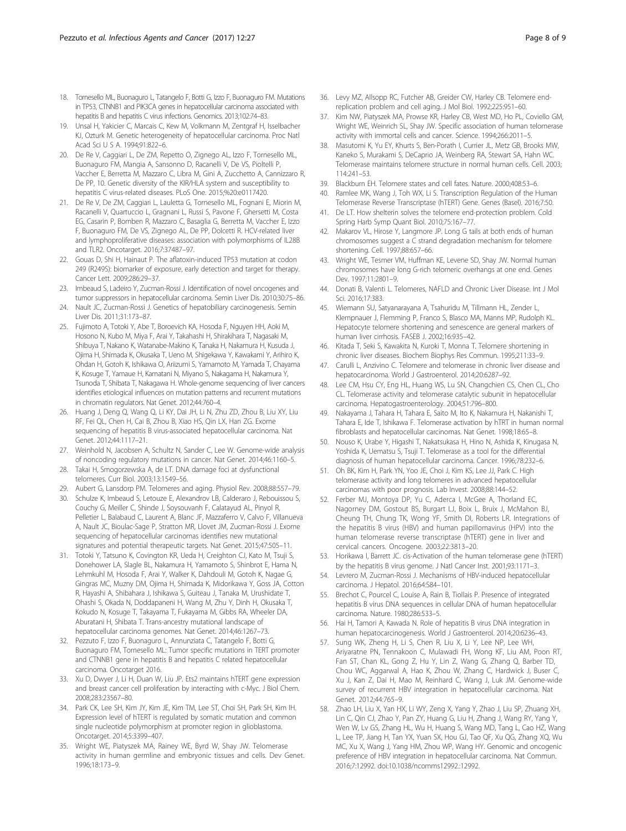- <span id="page-7-0"></span>18. Tornesello ML, Buonaguro L, Tatangelo F, Botti G, Izzo F, Buonaguro FM. Mutations in TP53, CTNNB1 and PIK3CA genes in hepatocellular carcinoma associated with hepatitis B and hepatitis C virus infections. Genomics. 2013;102:74–83.
- 19. Unsal H, Yakicier C, Marcais C, Kew M, Volkmann M, Zentgraf H, Isselbacher KJ, Ozturk M. Genetic heterogeneity of hepatocellular carcinoma. Proc Natl Acad Sci U S A. 1994;91:822–6.
- 20. De Re V, Caggiari L, De ZM, Repetto O, Zignego AL, Izzo F, Tornesello ML, Buonaguro FM, Mangia A, Sansonno D, Racanelli V, De VS, Pioltelli P, Vaccher E, Berretta M, Mazzaro C, Libra M, Gini A, Zucchetto A, Cannizzaro R, De PP, 10. Genetic diversity of the KIR/HLA system and susceptibility to hepatitis C virus-related diseases. PLoS One. 2015;%20:e0117420.
- 21. De Re V, De ZM, Caggiari L, Lauletta G, Tornesello ML, Fognani E, Miorin M, Racanelli V, Quartuccio L, Gragnani L, Russi S, Pavone F, Ghersetti M, Costa EG, Casarin P, Bomben R, Mazzaro C, Basaglia G, Berretta M, Vaccher E, Izzo F, Buonaguro FM, De VS, Zignego AL, De PP, Dolcetti R. HCV-related liver and lymphoproliferative diseases: association with polymorphisms of IL28B and TLR2. Oncotarget. 2016;7:37487–97.
- 22. Gouas D, Shi H, Hainaut P. The aflatoxin-induced TP53 mutation at codon 249 (R249S): biomarker of exposure, early detection and target for therapy. Cancer Lett. 2009;286:29–37.
- 23. Imbeaud S, Ladeiro Y, Zucman-Rossi J. Identification of novel oncogenes and tumor suppressors in hepatocellular carcinoma. Semin Liver Dis. 2010;30:75–86.
- 24. Nault JC, Zucman-Rossi J. Genetics of hepatobiliary carcinogenesis. Semin Liver Dis. 2011;31:173–87.
- 25. Fujimoto A, Totoki Y, Abe T, Boroevich KA, Hosoda F, Nguyen HH, Aoki M, Hosono N, Kubo M, Miya F, Arai Y, Takahashi H, Shirakihara T, Nagasaki M, Shibuya T, Nakano K, Watanabe-Makino K, Tanaka H, Nakamura H, Kusuda J, Ojima H, Shimada K, Okusaka T, Ueno M, Shigekawa Y, Kawakami Y, Arihiro K, Ohdan H, Gotoh K, Ishikawa O, Ariizumi S, Yamamoto M, Yamada T, Chayama K, Kosuge T, Yamaue H, Kamatani N, Miyano S, Nakagama H, Nakamura Y, Tsunoda T, Shibata T, Nakagawa H. Whole-genome sequencing of liver cancers identifies etiological influences on mutation patterns and recurrent mutations in chromatin regulators. Nat Genet. 2012;44:760–4.
- 26. Huang J, Deng Q, Wang Q, Li KY, Dai JH, Li N, Zhu ZD, Zhou B, Liu XY, Liu RF, Fei QL, Chen H, Cai B, Zhou B, Xiao HS, Qin LX, Han ZG. Exome sequencing of hepatitis B virus-associated hepatocellular carcinoma. Nat Genet. 2012;44:1117–21.
- 27. Weinhold N, Jacobsen A, Schultz N, Sander C, Lee W. Genome-wide analysis of noncoding regulatory mutations in cancer. Nat Genet. 2014;46:1160–5.
- 28. Takai H, Smogorzewska A, de LT. DNA damage foci at dysfunctional telomeres. Curr Biol. 2003;13:1549–56.
- 29. Aubert G, Lansdorp PM. Telomeres and aging. Physiol Rev. 2008;88:557–79.
- 30. Schulze K, Imbeaud S, Letouze E, Alexandrov LB, Calderaro J, Rebouissou S, Couchy G, Meiller C, Shinde J, Soysouvanh F, Calatayud AL, Pinyol R, Pelletier L, Balabaud C, Laurent A, Blanc JF, Mazzaferro V, Calvo F, Villanueva A, Nault JC, Bioulac-Sage P, Stratton MR, Llovet JM, Zucman-Rossi J. Exome sequencing of hepatocellular carcinomas identifies new mutational signatures and potential therapeutic targets. Nat Genet. 2015;47:505–11.
- 31. Totoki Y, Tatsuno K, Covington KR, Ueda H, Creighton CJ, Kato M, Tsuji S, Donehower LA, Slagle BL, Nakamura H, Yamamoto S, Shinbrot E, Hama N, Lehmkuhl M, Hosoda F, Arai Y, Walker K, Dahdouli M, Gotoh K, Nagae G, Gingras MC, Muzny DM, Ojima H, Shimada K, Midorikawa Y, Goss JA, Cotton R, Hayashi A, Shibahara J, Ishikawa S, Guiteau J, Tanaka M, Urushidate T, Ohashi S, Okada N, Doddapaneni H, Wang M, Zhu Y, Dinh H, Okusaka T, Kokudo N, Kosuge T, Takayama T, Fukayama M, Gibbs RA, Wheeler DA, Aburatani H, Shibata T. Trans-ancestry mutational landscape of hepatocellular carcinoma genomes. Nat Genet. 2014;46:1267–73.
- 32. Pezzuto F, Izzo F, Buonaguro L, Annunziata C, Tatangelo F, Botti G, Buonaguro FM, Tornesello ML: Tumor specific mutations in TERT promoter and CTNNB1 gene in hepatitis B and hepatitis C related hepatocellular carcinoma. Oncotarget 2016.
- 33. Xu D, Dwyer J, Li H, Duan W, Liu JP. Ets2 maintains hTERT gene expression and breast cancer cell proliferation by interacting with c-Myc. J Biol Chem. 2008;283:23567–80.
- 34. Park CK, Lee SH, Kim JY, Kim JE, Kim TM, Lee ST, Choi SH, Park SH, Kim IH. Expression level of hTERT is regulated by somatic mutation and common single nucleotide polymorphism at promoter region in glioblastoma. Oncotarget. 2014;5:3399–407.
- 35. Wright WE, Piatyszek MA, Rainey WE, Byrd W, Shay JW. Telomerase activity in human germline and embryonic tissues and cells. Dev Genet. 1996;18:173–9.
- 36. Levy MZ, Allsopp RC, Futcher AB, Greider CW, Harley CB. Telomere endreplication problem and cell aging. J Mol Biol. 1992;225:951–60.
- 37. Kim NW, Piatyszek MA, Prowse KR, Harley CB, West MD, Ho PL, Coviello GM, Wright WE, Weinrich SL, Shay JW. Specific association of human telomerase activity with immortal cells and cancer. Science. 1994;266:2011–5.
- 38. Masutomi K, Yu EY, Khurts S, Ben-Porath I, Currier JL, Metz GB, Brooks MW, Kaneko S, Murakami S, DeCaprio JA, Weinberg RA, Stewart SA, Hahn WC. Telomerase maintains telomere structure in normal human cells. Cell. 2003; 114:241–53.
- 39. Blackburn EH. Telomere states and cell fates. Nature. 2000;408:53–6.
- Ramlee MK, Wang J, Toh WX, Li S. Transcription Regulation of the Human Telomerase Reverse Transcriptase (hTERT) Gene. Genes (Basel). 2016;7:50.
- 41. De LT. How shelterin solves the telomere end-protection problem. Cold Spring Harb Symp Quant Biol. 2010;75:167–77.
- 42. Makarov VL, Hirose Y, Langmore JP. Long G tails at both ends of human chromosomes suggest a C strand degradation mechanism for telomere shortening. Cell. 1997;88:657–66.
- 43. Wright WE, Tesmer VM, Huffman KE, Levene SD, Shay JW. Normal human chromosomes have long G-rich telomeric overhangs at one end. Genes Dev. 1997;11:2801–9.
- 44. Donati B, Valenti L. Telomeres, NAFLD and Chronic Liver Disease. Int J Mol Sci. 2016;17:383.
- 45. Wiemann SU, Satyanarayana A, Tsahuridu M, Tillmann HL, Zender L, Klempnauer J, Flemming P, Franco S, Blasco MA, Manns MP, Rudolph KL. Hepatocyte telomere shortening and senescence are general markers of human liver cirrhosis. FASEB J. 2002;16:935–42.
- 46. Kitada T, Seki S, Kawakita N, Kuroki T, Monna T. Telomere shortening in chronic liver diseases. Biochem Biophys Res Commun. 1995;211:33–9.
- Carulli L, Anzivino C. Telomere and telomerase in chronic liver disease and hepatocarcinoma. World J Gastroenterol. 2014;20:6287–92.
- 48. Lee CM, Hsu CY, Eng HL, Huang WS, Lu SN, Changchien CS, Chen CL, Cho CL. Telomerase activity and telomerase catalytic subunit in hepatocellular carcinoma. Hepatogastroenterology. 2004;51:796–800.
- 49. Nakayama J, Tahara H, Tahara E, Saito M, Ito K, Nakamura H, Nakanishi T, Tahara E, Ide T, Ishikawa F. Telomerase activation by hTRT in human normal fibroblasts and hepatocellular carcinomas. Nat Genet. 1998;18:65–8.
- 50. Nouso K, Urabe Y, Higashi T, Nakatsukasa H, Hino N, Ashida K, Kinugasa N, Yoshida K, Uematsu S, Tsuji T. Telomerase as a tool for the differential diagnosis of human hepatocellular carcinoma. Cancer. 1996;78:232–6.
- 51. Oh BK, Kim H, Park YN, Yoo JE, Choi J, Kim KS, Lee JJ, Park C. High telomerase activity and long telomeres in advanced hepatocellular carcinomas with poor prognosis. Lab Invest. 2008;88:144–52.
- 52. Ferber MJ, Montoya DP, Yu C, Aderca I, McGee A, Thorland EC, Nagorney DM, Gostout BS, Burgart LJ, Boix L, Bruix J, McMahon BJ, Cheung TH, Chung TK, Wong YF, Smith DI, Roberts LR. Integrations of the hepatitis B virus (HBV) and human papillomavirus (HPV) into the human telomerase reverse transcriptase (hTERT) gene in liver and cervical cancers. Oncogene. 2003;22:3813–20.
- 53. Horikawa I, Barrett JC. cis-Activation of the human telomerase gene (hTERT) by the hepatitis B virus genome. J Natl Cancer Inst. 2001;93:1171–3.
- 54. Levrero M, Zucman-Rossi J. Mechanisms of HBV-induced hepatocellular carcinoma. J Hepatol. 2016;64:S84–101.
- 55. Brechot C, Pourcel C, Louise A, Rain B, Tiollais P. Presence of integrated hepatitis B virus DNA sequences in cellular DNA of human hepatocellular carcinoma. Nature. 1980;286:533–5.
- 56. Hai H, Tamori A, Kawada N. Role of hepatitis B virus DNA integration in human hepatocarcinogenesis. World J Gastroenterol. 2014;20:6236–43.
- 57. Sung WK, Zheng H, Li S, Chen R, Liu X, Li Y, Lee NP, Lee WH, Ariyaratne PN, Tennakoon C, Mulawadi FH, Wong KF, Liu AM, Poon RT, Fan ST, Chan KL, Gong Z, Hu Y, Lin Z, Wang G, Zhang Q, Barber TD, Chou WC, Aggarwal A, Hao K, Zhou W, Zhang C, Hardwick J, Buser C, Xu J, Kan Z, Dai H, Mao M, Reinhard C, Wang J, Luk JM. Genome-wide survey of recurrent HBV integration in hepatocellular carcinoma. Nat Genet. 2012;44:765–9.
- 58. Zhao LH, Liu X, Yan HX, Li WY, Zeng X, Yang Y, Zhao J, Liu SP, Zhuang XH, Lin C, Qin CJ, Zhao Y, Pan ZY, Huang G, Liu H, Zhang J, Wang RY, Yang Y, Wen W, Lv GS, Zhang HL, Wu H, Huang S, Wang MD, Tang L, Cao HZ, Wang L, Lee TP, Jiang H, Tan YX, Yuan SX, Hou GJ, Tao QF, Xu QG, Zhang XQ, Wu MC, Xu X, Wang J, Yang HM, Zhou WP, Wang HY. Genomic and oncogenic preference of HBV integration in hepatocellular carcinoma. Nat Commun. 2016;7:12992. doi:[10.1038/ncomms12992.:12992](http://dx.doi.org/10.1038/ncomms12992.:12992).